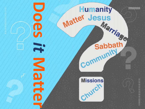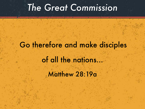### *The Great Commission*

# Go therefore and make disciples of all the nations... Matthew 28:19a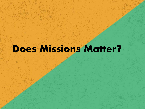## **Does Missions Matter?**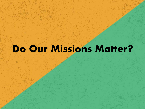# **Do Our Missions Matter?**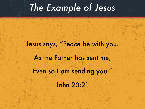### *The Example of Jesus*

Jesus says, "Peace be with you. As the Father has sent me, Even so I am sending you." John 20:21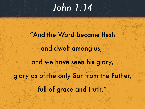## *John 1:14*

"And the Word became flesh and dwelt among us, and we have seen his glory, glory as of the only Son from the Father, full of grace and truth."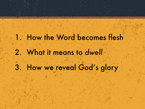1. How the Word becomes flesh 2. What it means to *dwell* 3. How we reveal God's glory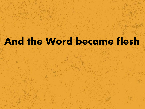## **And the Word became flesh**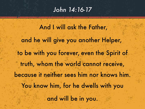#### *John 14:16-17*

And I will ask the Father, and he will give you another Helper, to be with you forever, even the Spirit of truth, whom the world cannot receive, because it neither sees him nor knows him. You know him, for he dwells with you and will be in you.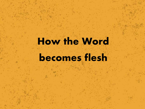# **How the Word**

## **becomes flesh**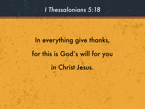#### *I Thessalonians 5:18*

## In everything give thanks, for this is God's will for you in Christ Jesus.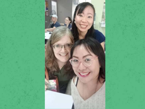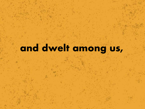## **and dwelt among us,**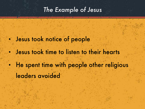#### *The Example of Jesus*

- Jesus took notice of people
	- Jesus took time to listen to their hearts
	- He spent time with people other religious leaders avoided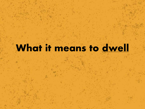# **What it means to dwell**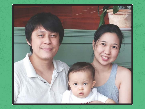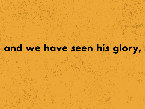# **and we have seen his glory,**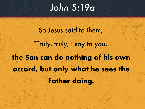## *John 5:19a*

So Jesus said to them, "Truly, truly, I say to you, **the Son can do nothing of his own accord, but only what he sees the Father doing.**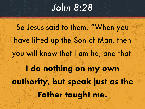## *John 8:28*

So Jesus said to them, "When you have lifted up the Son of Man, then you will know that I am he, and that **I do nothing on my own authority, but speak just as the Father taught me.**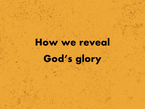## **How we reveal**

## **God's glory**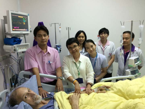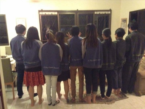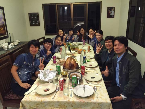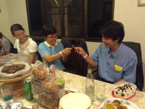